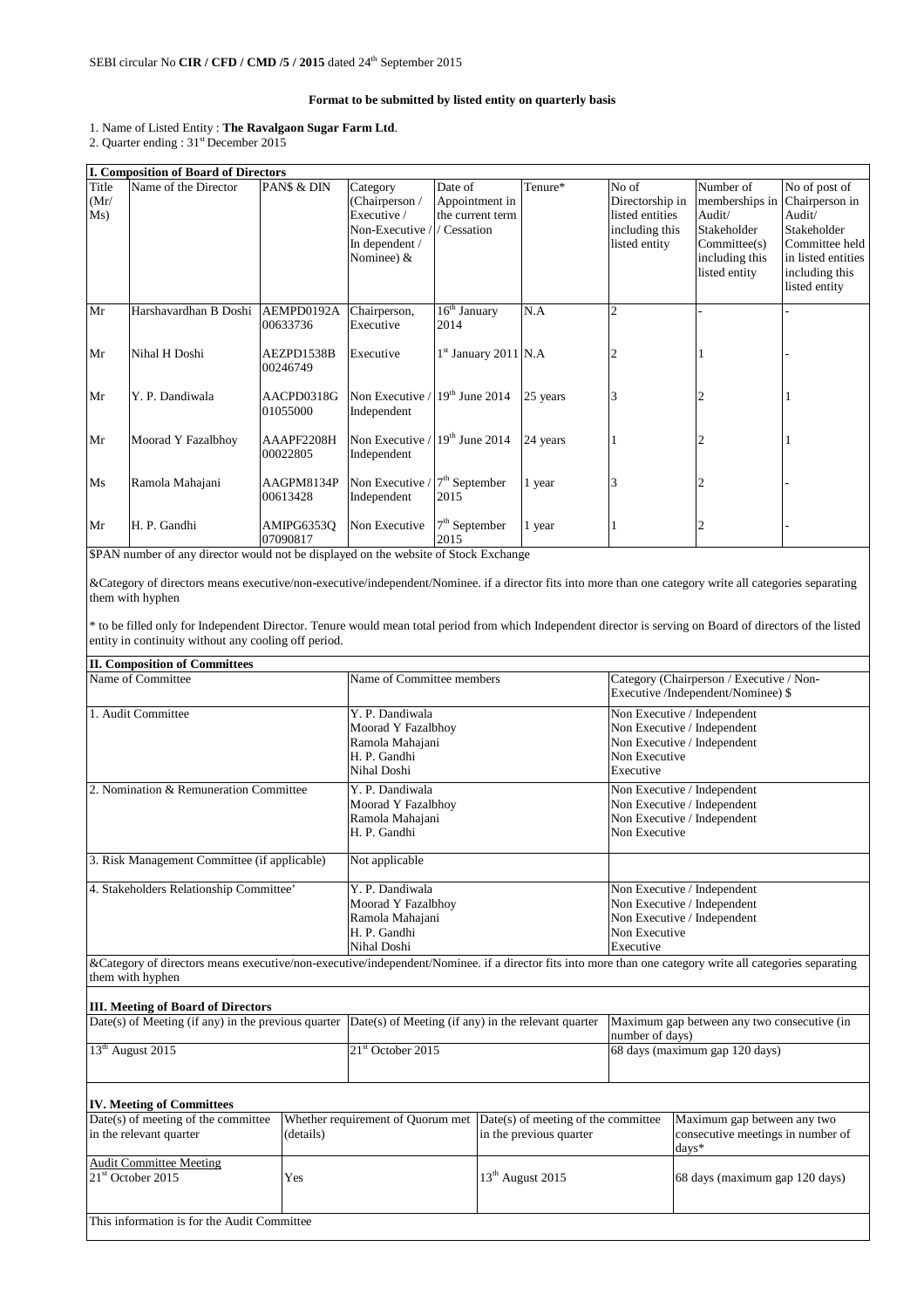## **Format to be submitted by listed entity on quarterly basis**

## 1. Name of Listed Entity : **The Ravalgaon Sugar Farm Ltd**.

2. Quarter ending : 31<sup>st</sup> December 2015

|                      | <b>I. Composition of Board of Directors</b> |                        |                                                                                              |                                                              |          |                                                                                |                                                                                                        |                                                                                                                                     |
|----------------------|---------------------------------------------|------------------------|----------------------------------------------------------------------------------------------|--------------------------------------------------------------|----------|--------------------------------------------------------------------------------|--------------------------------------------------------------------------------------------------------|-------------------------------------------------------------------------------------------------------------------------------------|
| Title<br>(Mr)<br>Ms) | Name of the Director                        | PANS & DIN             | Category<br>(Chairperson /<br>Executive /<br>Non-Executive /<br>In dependent /<br>Nominee) & | Date of<br>Appointment in<br>the current term<br>/ Cessation | Tenure*  | No of<br>Directorship in<br>listed entities<br>including this<br>listed entity | Number of<br>memberships in<br>Audit/<br>Stakeholder<br>Commitee(s)<br>including this<br>listed entity | No of post of<br>Chairperson in<br>Audit/<br>Stakeholder<br>Committee held<br>in listed entities<br>including this<br>listed entity |
| Mr                   | Harshavardhan B Doshi                       | AEMPD0192A<br>00633736 | Chairperson,<br>Executive                                                                    | $16th$ January<br>2014                                       | N.A      | $\overline{c}$                                                                 |                                                                                                        |                                                                                                                                     |
| Mr                   | Nihal H Doshi                               | AEZPD1538B<br>00246749 | Executive                                                                                    | 1st January 2011 N.A                                         |          |                                                                                |                                                                                                        |                                                                                                                                     |
| Mr                   | Y. P. Dandiwala                             | AACPD0318G<br>01055000 | Non Executive /<br>Independent                                                               | $19th$ June 2014                                             | 25 years |                                                                                |                                                                                                        |                                                                                                                                     |
| Mr                   | Moorad Y Fazalbhoy                          | AAAPF2208H<br>00022805 | Non Executive /<br>Independent                                                               | $19th$ June 2014                                             | 24 years |                                                                                |                                                                                                        |                                                                                                                                     |
| Ms                   | Ramola Mahajani                             | AAGPM8134P<br>00613428 | Non Executive<br>Independent                                                                 | $7th$ September<br>2015                                      | 1 year   |                                                                                |                                                                                                        |                                                                                                                                     |
| Mr                   | H. P. Gandhi                                | AMIPG6353O<br>07090817 | Non Executive                                                                                | $7th$ September<br>2015                                      | 1 year   |                                                                                |                                                                                                        |                                                                                                                                     |

\$PAN number of any director would not be displayed on the website of Stock Exchange

&Category of directors means executive/non-executive/independent/Nominee. if a director fits into more than one category write all categories separating them with hyphen

\* to be filled only for Independent Director. Tenure would mean total period from which Independent director is serving on Board of directors of the listed entity in continuity without any cooling off period.

| <b>II. Composition of Committees</b>                                                                            |  |                                   |                                     |                                                                |                                                                                                                                                          |  |
|-----------------------------------------------------------------------------------------------------------------|--|-----------------------------------|-------------------------------------|----------------------------------------------------------------|----------------------------------------------------------------------------------------------------------------------------------------------------------|--|
| Name of Committee                                                                                               |  | Name of Committee members         |                                     | Category (Chairperson / Executive / Non-                       |                                                                                                                                                          |  |
|                                                                                                                 |  |                                   |                                     |                                                                | Executive /Independent/Nominee) \$                                                                                                                       |  |
| 1. Audit Committee                                                                                              |  | Y. P. Dandiwala                   |                                     | Non Executive / Independent                                    |                                                                                                                                                          |  |
|                                                                                                                 |  | Moorad Y Fazalbhoy                |                                     | Non Executive / Independent                                    |                                                                                                                                                          |  |
|                                                                                                                 |  | Ramola Mahajani                   |                                     |                                                                | Non Executive / Independent                                                                                                                              |  |
|                                                                                                                 |  | H. P. Gandhi                      |                                     | Non Executive                                                  |                                                                                                                                                          |  |
|                                                                                                                 |  | Nihal Doshi                       |                                     | Executive                                                      |                                                                                                                                                          |  |
| 2. Nomination & Remuneration Committee                                                                          |  | Y. P. Dandiwala                   |                                     | Non Executive / Independent                                    |                                                                                                                                                          |  |
|                                                                                                                 |  | Moorad Y Fazalbhoy                |                                     |                                                                | Non Executive / Independent                                                                                                                              |  |
|                                                                                                                 |  | Ramola Mahajani                   |                                     | Non Executive / Independent                                    |                                                                                                                                                          |  |
|                                                                                                                 |  | H. P. Gandhi                      |                                     | Non Executive                                                  |                                                                                                                                                          |  |
| 3. Risk Management Committee (if applicable)                                                                    |  | Not applicable                    |                                     |                                                                |                                                                                                                                                          |  |
| 4. Stakeholders Relationship Committee'                                                                         |  | Y. P. Dandiwala                   |                                     | Non Executive / Independent                                    |                                                                                                                                                          |  |
|                                                                                                                 |  | Moorad Y Fazalbhoy                |                                     | Non Executive / Independent                                    |                                                                                                                                                          |  |
|                                                                                                                 |  | Ramola Mahajani                   |                                     | Non Executive / Independent                                    |                                                                                                                                                          |  |
|                                                                                                                 |  | H. P. Gandhi                      |                                     | Non Executive                                                  |                                                                                                                                                          |  |
|                                                                                                                 |  | Nihal Doshi                       |                                     | Executive                                                      |                                                                                                                                                          |  |
| them with hyphen                                                                                                |  |                                   |                                     |                                                                | &Category of directors means executive/non-executive/independent/Nominee. if a director fits into more than one category write all categories separating |  |
| <b>III.</b> Meeting of Board of Directors                                                                       |  |                                   |                                     |                                                                |                                                                                                                                                          |  |
| Date(s) of Meeting (if any) in the previous quarter $\vert$ Date(s) of Meeting (if any) in the relevant quarter |  |                                   |                                     | Maximum gap between any two consecutive (in<br>number of days) |                                                                                                                                                          |  |
| 13 <sup>th</sup> August 2015                                                                                    |  | $21st$ October 2015               |                                     | 68 days (maximum gap 120 days)                                 |                                                                                                                                                          |  |
|                                                                                                                 |  |                                   |                                     |                                                                |                                                                                                                                                          |  |
|                                                                                                                 |  |                                   |                                     |                                                                |                                                                                                                                                          |  |
| <b>IV. Meeting of Committees</b><br>Date(s) of meeting of the committee                                         |  | Whether requirement of Quorum met | Date(s) of meeting of the committee |                                                                | Maximum gap between any two                                                                                                                              |  |
| in the relevant quarter<br>(details)                                                                            |  |                                   | in the previous quarter             |                                                                | consecutive meetings in number of                                                                                                                        |  |
|                                                                                                                 |  |                                   |                                     |                                                                | $davs*$                                                                                                                                                  |  |
| <b>Audit Committee Meeting</b>                                                                                  |  |                                   |                                     |                                                                |                                                                                                                                                          |  |
| 21st October 2015<br>Yes                                                                                        |  |                                   | 13 <sup>th</sup> August 2015        |                                                                | 68 days (maximum gap 120 days)                                                                                                                           |  |
|                                                                                                                 |  |                                   |                                     |                                                                |                                                                                                                                                          |  |
| This information is for the Audit Committee                                                                     |  |                                   |                                     |                                                                |                                                                                                                                                          |  |